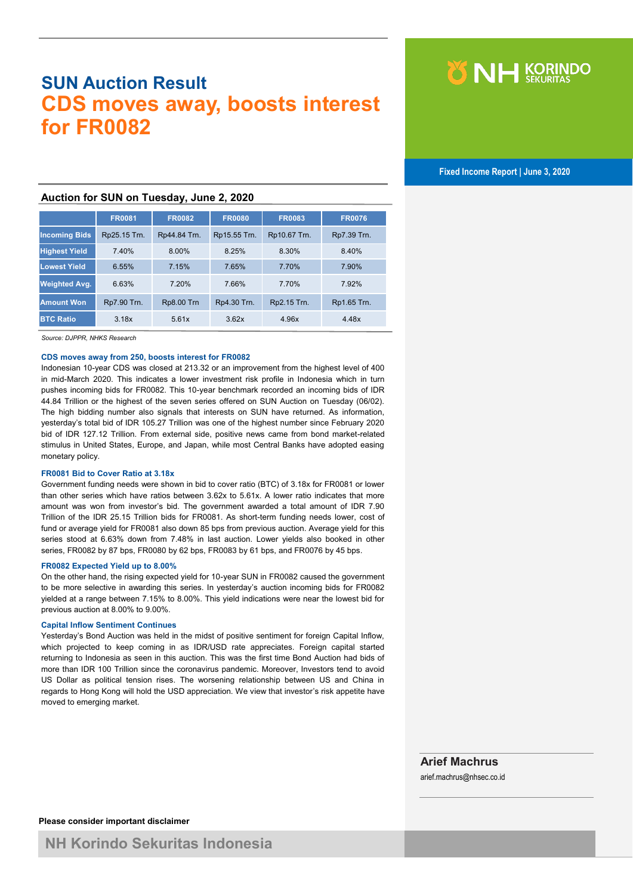# **SUN Auction Result CDS moves away, boosts interest for FR0082**



 **Fixed Income Report | June 3, 2020**

## **Auction for SUN on Tuesday, June 2, 2020**

|                      | <b>FR0081</b> | <b>FR0082</b>     | <b>FR0080</b> | <b>FR0083</b> | <b>FR0076</b> |
|----------------------|---------------|-------------------|---------------|---------------|---------------|
| <b>Incoming Bids</b> | Rp25.15 Trn.  | Rp44.84 Trn.      | Rp15.55 Trn.  | Rp10.67 Trn.  | Rp7.39 Trn.   |
| <b>Highest Yield</b> | 7.40%         | 8.00%             | 8.25%         | 8.30%         | 8.40%         |
| <b>Lowest Yield</b>  | 6.55%         | 7.15%             | 7.65%         | 7.70%         | 7.90%         |
| <b>Weighted Avg.</b> | 6.63%         | 7.20%             | 7.66%         | 7.70%         | 7.92%         |
| <b>Amount Won</b>    | Rp7.90 Trn.   | <b>Rp8.00 Trn</b> | Rp4.30 Trn.   | Rp2.15 Trn.   | Rp1.65 Trn.   |
| <b>BTC Ratio</b>     | 3.18x         | 5.61x             | 3.62x         | 4.96x         | 4.48x         |

*Source: DJPPR, NHKS Research*

#### **CDS moves away from 250, boosts interest for FR0082**

Indonesian 10-year CDS was closed at 213.32 or an improvement from the highest level of 400 in mid-March 2020. This indicates a lower investment risk profile in Indonesia which in turn pushes incoming bids for FR0082. This 10-year benchmark recorded an incoming bids of IDR 44.84 Trillion or the highest of the seven series offered on SUN Auction on Tuesday (06/02). The high bidding number also signals that interests on SUN have returned. As information, yesterday's total bid of IDR 105.27 Trillion was one of the highest number since February 2020 bid of IDR 127.12 Trillion. From external side, positive news came from bond market-related stimulus in United States, Europe, and Japan, while most Central Banks have adopted easing monetary policy.

#### **FR0081 Bid to Cover Ratio at 3.18x**

Government funding needs were shown in bid to cover ratio (BTC) of 3.18x for FR0081 or lower than other series which have ratios between 3.62x to 5.61x. A lower ratio indicates that more amount was won from investor's bid. The government awarded a total amount of IDR 7.90 Trillion of the IDR 25.15 Trillion bids for FR0081. As short-term funding needs lower, cost of fund or average yield for FR0081 also down 85 bps from previous auction. Average yield for this series stood at 6.63% down from 7.48% in last auction. Lower yields also booked in other series, FR0082 by 87 bps, FR0080 by 62 bps, FR0083 by 61 bps, and FR0076 by 45 bps.

#### **FR0082 Expected Yield up to 8.00%**

On the other hand, the rising expected yield for 10-year SUN in FR0082 caused the government to be more selective in awarding this series. In yesterday's auction incoming bids for FR0082 yielded at a range between 7.15% to 8.00%. This yield indications were near the lowest bid for previous auction at 8.00% to 9.00%.

#### **Capital Inflow Sentiment Continues**

Yesterday's Bond Auction was held in the midst of positive sentiment for foreign Capital Inflow, which projected to keep coming in as IDR/USD rate appreciates. Foreign capital started returning to Indonesia as seen in this auction. This was the first time Bond Auction had bids of more than IDR 100 Trillion since the coronavirus pandemic. Moreover, Investors tend to avoid US Dollar as political tension rises. The worsening relationship between US and China in regards to Hong Kong will hold the USD appreciation. We view that investor's risk appetite have moved to emerging market.

# **Arief Machrus**

arief.machrus@nhsec.co.id

**Please consider important disclaimer**